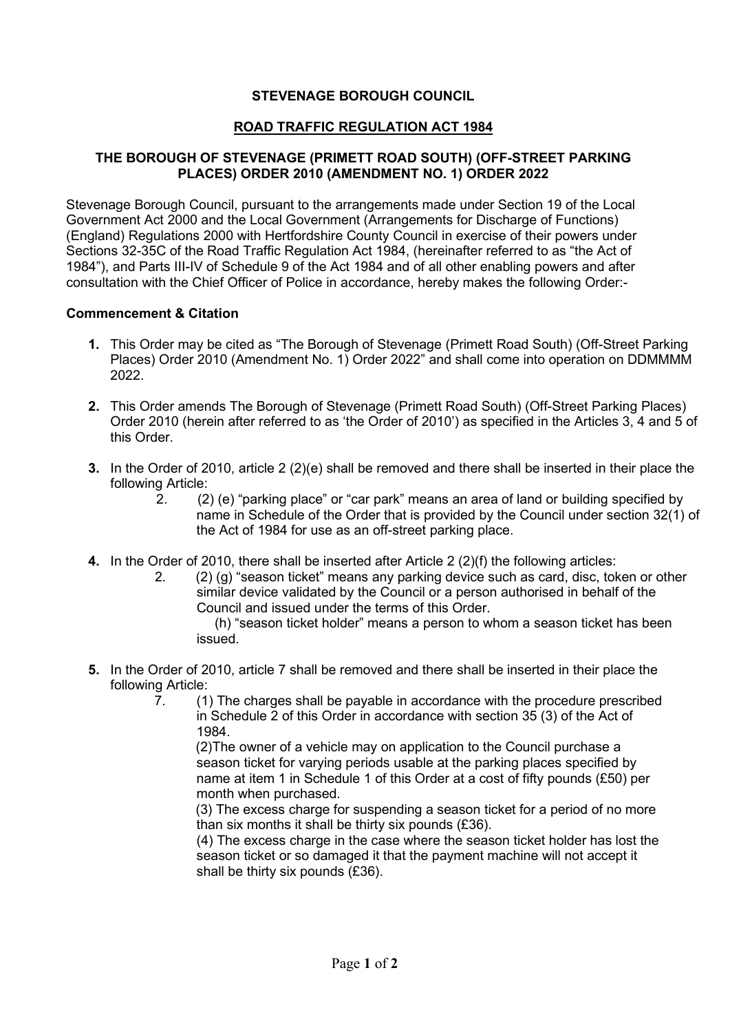## **STEVENAGE BOROUGH COUNCIL**

## **ROAD TRAFFIC REGULATION ACT 1984**

## **THE BOROUGH OF STEVENAGE (PRIMETT ROAD SOUTH) (OFF-STREET PARKING PLACES) ORDER 2010 (AMENDMENT NO. 1) ORDER 2022**

Stevenage Borough Council, pursuant to the arrangements made under Section 19 of the Local Government Act 2000 and the Local Government (Arrangements for Discharge of Functions) (England) Regulations 2000 with Hertfordshire County Council in exercise of their powers under Sections 32-35C of the Road Traffic Regulation Act 1984, (hereinafter referred to as "the Act of 1984"), and Parts III-IV of Schedule 9 of the Act 1984 and of all other enabling powers and after consultation with the Chief Officer of Police in accordance, hereby makes the following Order:-

## **Commencement & Citation**

- **1.** This Order may be cited as "The Borough of Stevenage (Primett Road South) (Off-Street Parking Places) Order 2010 (Amendment No. 1) Order 2022" and shall come into operation on DDMMMM 2022.
- **2.** This Order amends The Borough of Stevenage (Primett Road South) (Off-Street Parking Places) Order 2010 (herein after referred to as 'the Order of 2010') as specified in the Articles 3, 4 and 5 of this Order.
- **3.** In the Order of 2010, article 2 (2)(e) shall be removed and there shall be inserted in their place the following Article:
	- 2. (2) (e) "parking place" or "car park" means an area of land or building specified by name in Schedule of the Order that is provided by the Council under section 32(1) of the Act of 1984 for use as an off-street parking place.
- **4.** In the Order of 2010, there shall be inserted after Article 2 (2)(f) the following articles:
	- 2. (2) (g) "season ticket" means any parking device such as card, disc, token or other similar device validated by the Council or a person authorised in behalf of the Council and issued under the terms of this Order.

 (h) "season ticket holder" means a person to whom a season ticket has been issued.

- **5.** In the Order of 2010, article 7 shall be removed and there shall be inserted in their place the following Article:
	- 7. (1) The charges shall be payable in accordance with the procedure prescribed in Schedule 2 of this Order in accordance with section 35 (3) of the Act of 1984.

 (2)The owner of a vehicle may on application to the Council purchase a season ticket for varying periods usable at the parking places specified by name at item 1 in Schedule 1 of this Order at a cost of fifty pounds (£50) per month when purchased.

 (3) The excess charge for suspending a season ticket for a period of no more than six months it shall be thirty six pounds (£36).

(4) The excess charge in the case where the season ticket holder has lost the season ticket or so damaged it that the payment machine will not accept it shall be thirty six pounds (£36).